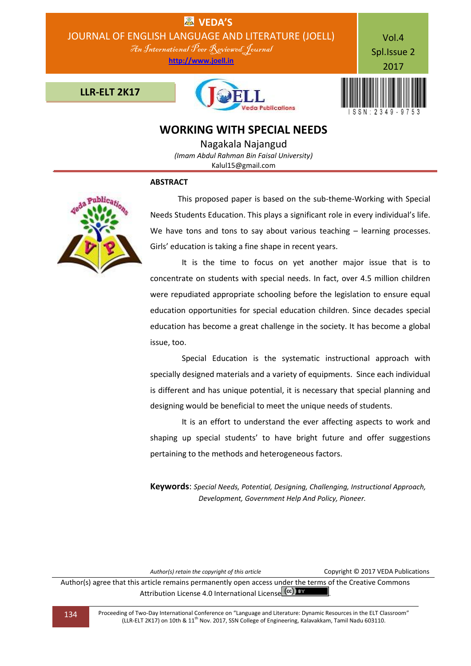

**WORKING WITH SPECIAL NEEDS**

Nagakala Najangud *(Imam Abdul Rahman Bin Faisal University)* Kalul15@gmail.com

### **ABSTRACT**



 This proposed paper is based on the sub-theme-Working with Special Needs Students Education. This plays a significant role in every individual's life. We have tons and tons to say about various teaching – learning processes. Girls' education is taking a fine shape in recent years.

 It is the time to focus on yet another major issue that is to concentrate on students with special needs. In fact, over 4.5 million children were repudiated appropriate schooling before the legislation to ensure equal education opportunities for special education children. Since decades special education has become a great challenge in the society. It has become a global issue, too.

 Special Education is the systematic instructional approach with specially designed materials and a variety of equipments. Since each individual is different and has unique potential, it is necessary that special planning and designing would be beneficial to meet the unique needs of students.

 It is an effort to understand the ever affecting aspects to work and shaping up special students' to have bright future and offer suggestions pertaining to the methods and heterogeneous factors.

**Keywords**: *Special Needs, Potential, Designing, Challenging, Instructional Approach, Development, Government Help And Policy, Pioneer.*

*Author(s) retain the copyright of this article* Copyright © 2017 VEDA Publications

Author(s) agree that this article remains permanently open access under the terms of the Creative Commons Attribution License 4.0 International License CCC) BY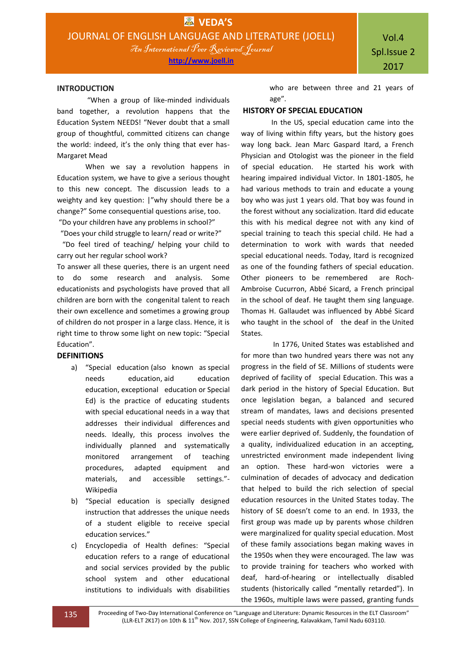#### **INTRODUCTION**

"When a group of like-minded individuals band together, a revolution happens that the Education System NEEDS! "Never doubt that a small group of thoughtful, committed citizens can change the world: indeed, it's the only thing that ever has-Margaret Mead

When we say a revolution happens in Education system, we have to give a serious thought to this new concept. The discussion leads to a weighty and key question: |"why should there be a change?" Some consequential questions arise, too.

"Do your children have any problems in school?"

 "Does your child struggle to learn/ read or write?" "Do feel tired of teaching/ helping your child to carry out her regular school work?

To answer all these queries, there is an urgent need to do some research and analysis. Some educationists and psychologists have proved that all children are born with the congenital talent to reach their own excellence and sometimes a growing group of children do not prosper in a large class. Hence, it is right time to throw some light on new topic: "Special Education".

#### **DEFINITIONS**

- a) "Special education (also known as special needs education, aid education education, exceptional education or Special Ed) is the practice of educating students with special educational needs in a way that addresses their individual differences and needs. Ideally, this process involves the individually planned and systematically monitored arrangement of teaching procedures, adapted equipment and materials, and accessible settings."- Wikipedia
- b) "Special education is specially designed instruction that addresses the unique needs of a student eligible to receive special education services."
- c) Encyclopedia of Health defines: "Special education refers to a range of educational and social services provided by the public school system and other educational institutions to individuals with disabilities

who are between three and 21 years of age".

### **HISTORY OF SPECIAL EDUCATION**

In the US, special education came into the way of living within fifty years, but the history goes way long back. Jean Marc Gaspard Itard, a French Physician and Otologist was the pioneer in the field of special education. He started his work with hearing impaired individual Victor. In 1801-1805, he had various methods to train and educate a young boy who was just 1 years old. That boy was found in the forest without any socialization. Itard did educate this with his medical degree not with any kind of special training to teach this special child. He had a determination to work with wards that needed special educational needs. Today, Itard is recognized as one of the founding fathers of special education. Other pioneers to be remembered are Roch-Ambroise Cucurron, Abbé Sicard, a French principal in the school of deaf. He taught them sing language. Thomas H. Gallaudet was influenced by Abbé Sicard who taught in the school of the deaf in the United States.

 In 1776, United States was established and for more than two hundred years there was not any progress in the field of SE. Millions of students were deprived of facility of special Education. This was a dark period in the history of Special Education. But once legislation began, a balanced and secured stream of mandates, laws and decisions presented special needs students with given opportunities who were earlier deprived of. Suddenly, the foundation of a quality, individualized education in an accepting, unrestricted environment made independent living an option. These hard-won victories were a culmination of decades of advocacy and dedication that helped to build the rich selection of special education resources in the United States today. The history of SE doesn't come to an end. In 1933, the first group was made up by parents whose children were marginalized for quality special education. Most of these family associations began making waves in the 1950s when they were encouraged. The law was to provide training for teachers who worked with deaf, hard-of-hearing or intellectually disabled students (historically called "mentally retarded"). In the 1960s, multiple laws were passed, granting funds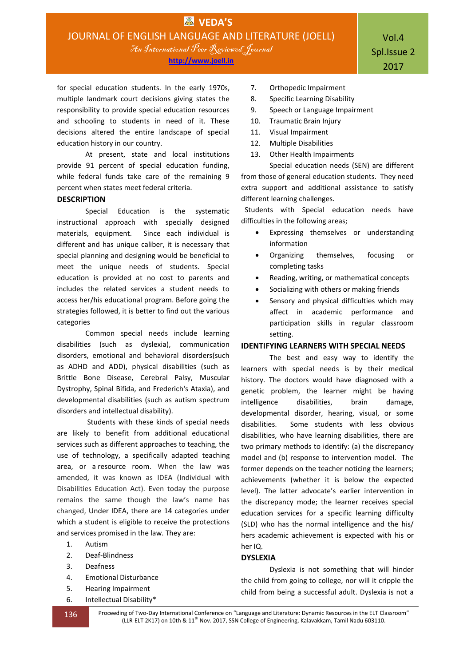for special education students. In the early 1970s, multiple landmark court decisions giving states the responsibility to provide special education resources and schooling to students in need of it. These decisions altered the entire landscape of special education history in our country.

At present, state and local institutions provide 91 percent of special education funding, while federal funds take care of the remaining 9 percent when states meet federal criteria.

### **DESCRIPTION**

Special Education is the systematic instructional approach with specially designed materials, equipment. Since each individual is different and has unique caliber, it is necessary that special planning and designing would be beneficial to meet the unique needs of students. Special education is provided at no cost to parents and includes the related services a student needs to access her/his educational program. Before going the strategies followed, it is better to find out the various categories

Common special needs include learning disabilities (such as dyslexia), communication disorders, emotional and behavioral disorders(such as ADHD and ADD), physical disabilities (such as Brittle Bone Disease, Cerebral Palsy, Muscular Dystrophy, Spinal Bifida, and Frederich's Ataxia), and developmental disabilities (such as autism spectrum disorders and intellectual disability).

Students with these kinds of special needs are likely to benefit from additional educational services such as different approaches to teaching, the use of technology, a specifically adapted teaching area, or a resource room. When the law was amended, it was known as IDEA (Individual with Disabilities Education Act). Even today the purpose remains the same though the law's name has changed, Under IDEA, there are 14 categories under which a student is eligible to receive the protections and services promised in the law. They are:

- 1. Autism
- 2. Deaf-Blindness
- 3. Deafness
- 4. Emotional Disturbance
- 5. Hearing Impairment
- 6. Intellectual Disability\*
- 7. Orthopedic Impairment
- 8. Specific Learning Disability
- 9. Speech or Language Impairment
- 10. Traumatic Brain Injury
- 11. Visual Impairment
- 12. Multiple Disabilities
- 13. Other Health Impairments

 Special education needs (SEN) are different from those of general education students. They need extra support and additional assistance to satisfy different learning challenges.

 Students with Special education needs have difficulties in the following areas;

- Expressing themselves or understanding information
- Organizing themselves, focusing or completing tasks
- Reading, writing, or mathematical concepts
- Socializing with others or making friends
- Sensory and physical difficulties which may affect in academic performance and participation skills in regular classroom setting.

## **IDENTIFYING LEARNERS WITH SPECIAL NEEDS**

The best and easy way to identify the learners with special needs is by their medical history. The doctors would have diagnosed with a genetic problem, the learner might be having intelligence disabilities, brain damage, developmental disorder, hearing, visual, or some disabilities. Some students with less obvious disabilities, who have learning disabilities, there are two primary methods to identify: (a) the discrepancy model and (b) response to intervention model. The former depends on the teacher noticing the learners; achievements (whether it is below the expected level). The latter advocate's earlier intervention in the discrepancy mode; the learner receives special education services for a specific learning difficulty (SLD) who has the normal intelligence and the his/ hers academic achievement is expected with his or her IQ.

## **DYSLEXIA**

Dyslexia is not something that will hinder the child from going to college, nor will it cripple the child from being a successful adult. Dyslexia is not a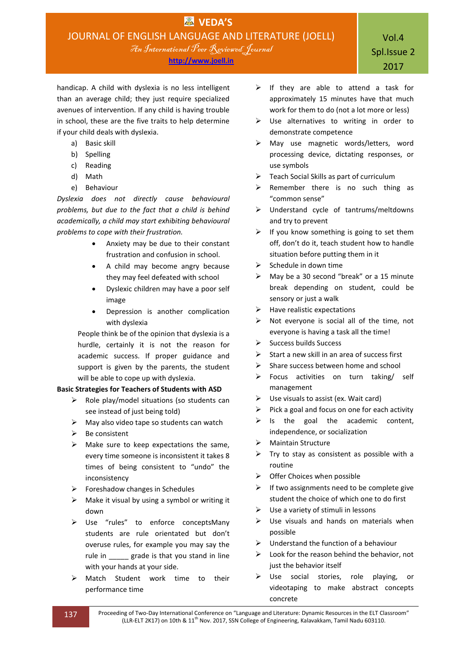**http://www.joell.in**

handicap. A child with dyslexia is no less intelligent than an average child; they just require specialized avenues of intervention. If any child is having trouble in school, these are the five traits to help determine if your child deals with dyslexia.

- a) Basic skill
- b) Spelling
- c) Reading
- d) Math
- e) Behaviour

*Dyslexia does not directly cause behavioural problems, but due to the fact that a child is behind academically, a child may start exhibiting behavioural problems to cope with their frustration.*

- Anxiety may be due to their constant frustration and confusion in school.
- A child may become angry because they may feel defeated with school
- Dyslexic children may have a poor self image
- Depression is another complication with dyslexia

People think be of the opinion that dyslexia is a hurdle, certainly it is not the reason for academic success. If proper guidance and support is given by the parents, the student will be able to cope up with dyslexia.

# **Basic Strategies for Teachers of Students with ASD**

- $\triangleright$  Role play/model situations (so students can see instead of just being told)
- $\triangleright$  May also video tape so students can watch
- $\triangleright$  Be consistent
- $\triangleright$  Make sure to keep expectations the same, every time someone is inconsistent it takes 8 times of being consistent to "undo" the inconsistency
- $\triangleright$  Foreshadow changes in Schedules
- $\triangleright$  Make it visual by using a symbol or writing it down
- Use "rules" to enforce conceptsMany students are rule orientated but don't overuse rules, for example you may say the rule in grade is that you stand in line with your hands at your side.
- > Match Student work time to their performance time
- $\triangleright$  If they are able to attend a task for approximately 15 minutes have that much work for them to do (not a lot more or less)
- $\triangleright$  Use alternatives to writing in order to demonstrate competence
- May use magnetic words/letters, word processing device, dictating responses, or use symbols
- $\triangleright$  Teach Social Skills as part of curriculum
- $\triangleright$  Remember there is no such thing as "common sense"
- Understand cycle of tantrums/meltdowns and try to prevent
- $\triangleright$  If you know something is going to set them off, don't do it, teach student how to handle situation before putting them in it
- $\triangleright$  Schedule in down time
- May be a 30 second "break" or a 15 minute break depending on student, could be sensory or just a walk
- $\blacktriangleright$  Have realistic expectations
- $\triangleright$  Not everyone is social all of the time, not everyone is having a task all the time!
- $\triangleright$  Success builds Success
- $\triangleright$  Start a new skill in an area of success first
- $\triangleright$  Share success between home and school
- Focus activities on turn taking/ self management
- $\triangleright$  Use visuals to assist (ex. Wait card)
- $\triangleright$  Pick a goal and focus on one for each activity
- $\triangleright$  Is the goal the academic content, independence, or socialization
- > Maintain Structure
- $\triangleright$  Try to stay as consistent as possible with a routine
- $\triangleright$  Offer Choices when possible
- $\triangleright$  If two assignments need to be complete give student the choice of which one to do first
- $\triangleright$  Use a variety of stimuli in lessons
- $\triangleright$  Use visuals and hands on materials when possible
- $\triangleright$  Understand the function of a behaviour
- $\triangleright$  Look for the reason behind the behavior, not just the behavior itself
- > Use social stories, role playing, or videotaping to make abstract concepts concrete